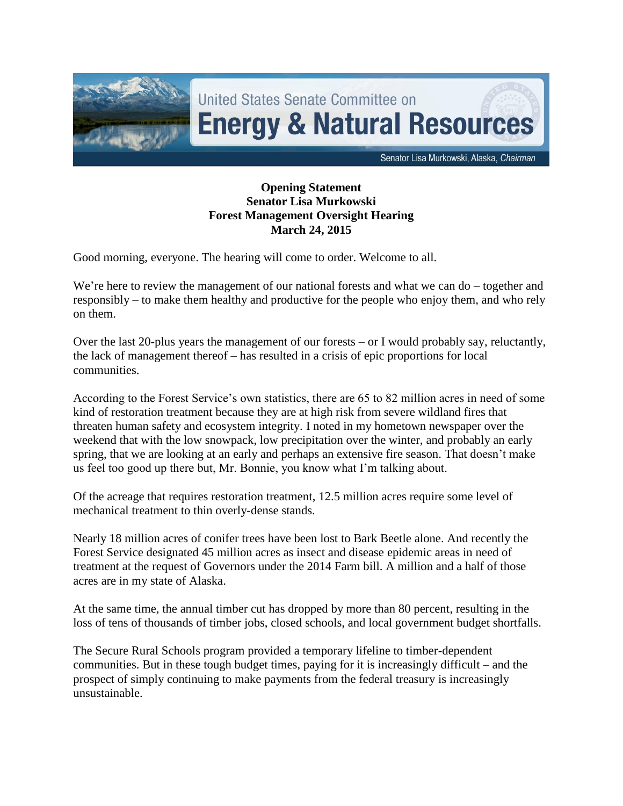

## **Opening Statement Senator Lisa Murkowski Forest Management Oversight Hearing March 24, 2015**

Good morning, everyone. The hearing will come to order. Welcome to all.

We're here to review the management of our national forests and what we can do – together and responsibly – to make them healthy and productive for the people who enjoy them, and who rely on them.

Over the last 20-plus years the management of our forests – or I would probably say, reluctantly, the lack of management thereof – has resulted in a crisis of epic proportions for local communities.

According to the Forest Service's own statistics, there are 65 to 82 million acres in need of some kind of restoration treatment because they are at high risk from severe wildland fires that threaten human safety and ecosystem integrity. I noted in my hometown newspaper over the weekend that with the low snowpack, low precipitation over the winter, and probably an early spring, that we are looking at an early and perhaps an extensive fire season. That doesn't make us feel too good up there but, Mr. Bonnie, you know what I'm talking about.

Of the acreage that requires restoration treatment, 12.5 million acres require some level of mechanical treatment to thin overly-dense stands.

Nearly 18 million acres of conifer trees have been lost to Bark Beetle alone. And recently the Forest Service designated 45 million acres as insect and disease epidemic areas in need of treatment at the request of Governors under the 2014 Farm bill. A million and a half of those acres are in my state of Alaska.

At the same time, the annual timber cut has dropped by more than 80 percent, resulting in the loss of tens of thousands of timber jobs, closed schools, and local government budget shortfalls.

The Secure Rural Schools program provided a temporary lifeline to timber-dependent communities. But in these tough budget times, paying for it is increasingly difficult – and the prospect of simply continuing to make payments from the federal treasury is increasingly unsustainable.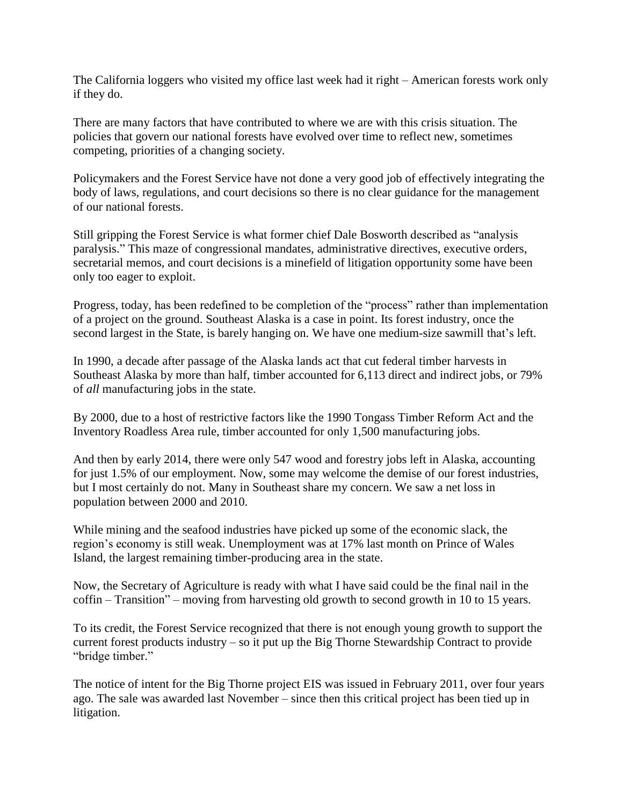The California loggers who visited my office last week had it right – American forests work only if they do.

There are many factors that have contributed to where we are with this crisis situation. The policies that govern our national forests have evolved over time to reflect new, sometimes competing, priorities of a changing society.

Policymakers and the Forest Service have not done a very good job of effectively integrating the body of laws, regulations, and court decisions so there is no clear guidance for the management of our national forests.

Still gripping the Forest Service is what former chief Dale Bosworth described as "analysis paralysis." This maze of congressional mandates, administrative directives, executive orders, secretarial memos, and court decisions is a minefield of litigation opportunity some have been only too eager to exploit.

Progress, today, has been redefined to be completion of the "process" rather than implementation of a project on the ground. Southeast Alaska is a case in point. Its forest industry, once the second largest in the State, is barely hanging on. We have one medium-size sawmill that's left.

In 1990, a decade after passage of the Alaska lands act that cut federal timber harvests in Southeast Alaska by more than half, timber accounted for 6,113 direct and indirect jobs, or 79% of *all* manufacturing jobs in the state.

By 2000, due to a host of restrictive factors like the 1990 Tongass Timber Reform Act and the Inventory Roadless Area rule, timber accounted for only 1,500 manufacturing jobs.

And then by early 2014, there were only 547 wood and forestry jobs left in Alaska, accounting for just 1.5% of our employment. Now, some may welcome the demise of our forest industries, but I most certainly do not. Many in Southeast share my concern. We saw a net loss in population between 2000 and 2010.

While mining and the seafood industries have picked up some of the economic slack, the region's economy is still weak. Unemployment was at 17% last month on Prince of Wales Island, the largest remaining timber-producing area in the state.

Now, the Secretary of Agriculture is ready with what I have said could be the final nail in the coffin – Transition" – moving from harvesting old growth to second growth in 10 to 15 years.

To its credit, the Forest Service recognized that there is not enough young growth to support the current forest products industry – so it put up the Big Thorne Stewardship Contract to provide "bridge timber."

The notice of intent for the Big Thorne project EIS was issued in February 2011, over four years ago. The sale was awarded last November – since then this critical project has been tied up in litigation.